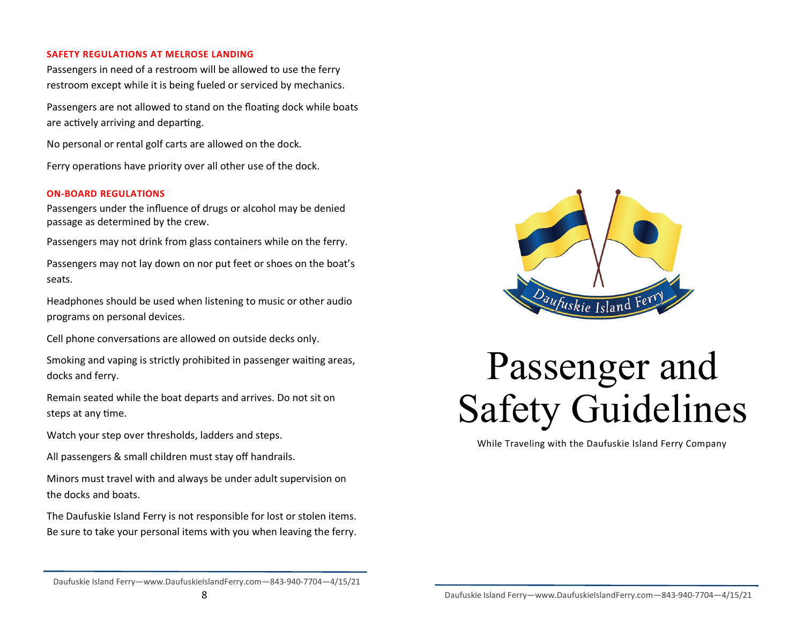#### **SAFETY REGULATIONS AT MELROSE LANDING**

Passengers in need of a restroom will be allowed to use the ferry restroom except while it is being fueled or serviced by mechanics.

Passengers are not allowed to stand on the floating dock while boats are actively arriving and departing.

No personal or rental golf carts are allowed on the dock.

Ferry operations have priority over all other use of the dock.

#### **ON-BOARD REGULATIONS**

Passengers under the influence of drugs or alcohol may be denied passage as determined by the crew.

Passengers may not drink from glass containers while on the ferry.

Passengers may not lay down on nor put feet or shoes on the boat's seats.

Headphones should be used when listening to music or other audio programs on personal devices.

Cell phone conversations are allowed on outside decks only.

Smoking and vaping is strictly prohibited in passenger waiting areas, docks and ferry.

Remain seated while the boat departs and arrives. Do not sit on steps at any time.

Watch your step over thresholds, ladders and steps.

All passengers & small children must stay off handrails.

Minors must travel with and always be under adult supervision on the docks and boats.

The Daufuskie Island Ferry is not responsible for lost or stolen items. Be sure to take your personal items with you when leaving the ferry.



# Passenger and Safety Guidelines

While Traveling with the Daufuskie Island Ferry Company

Daufuskie Island Ferry—www.DaufuskieIslandFerry.com—843-940-7704—4/15/21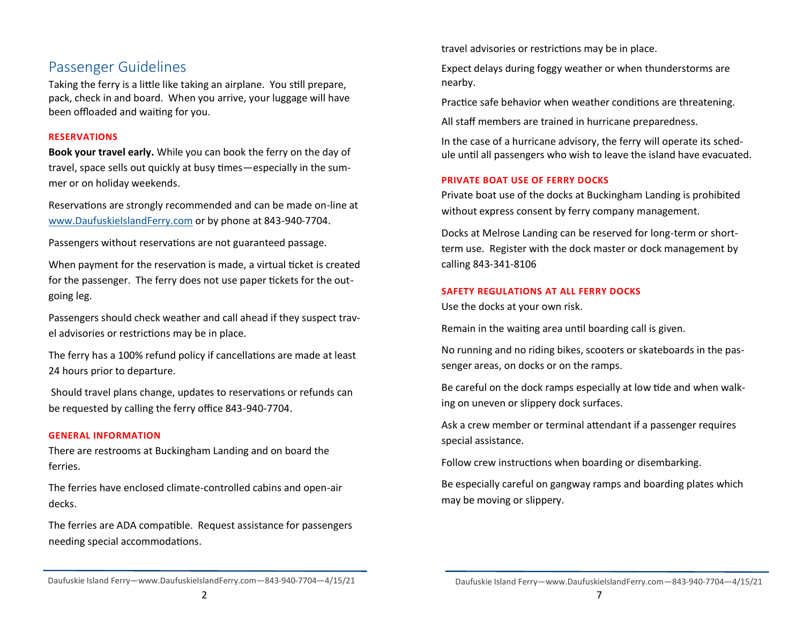### Passenger Guidelines

Taking the ferry is a little like taking an airplane. You still prepare, pack, check in and board. When you arrive, your luggage will have been offloaded and waiting for you.

#### **RESERVATIONS**

**Book your travel early.** While you can book the ferry on the day of travel, space sells out quickly at busy times—especially in the summer or on holiday weekends.

Reservations are strongly recommended and can be made on-line at [www.DaufuskieIslandFerry.com](http://www.DaufuskieIslandFerry.com) or by phone at 843-940-7704.

Passengers without reservations are not guaranteed passage.

When payment for the reservation is made, a virtual ticket is created for the passenger. The ferry does not use paper tickets for the outgoing leg.

Passengers should check weather and call ahead if they suspect travel advisories or restrictions may be in place.

The ferry has a 100% refund policy if cancellations are made at least 24 hours prior to departure.

Should travel plans change, updates to reservations or refunds can be requested by calling the ferry office 843-940-7704.

#### **GENERAL INFORMATION**

There are restrooms at Buckingham Landing and on board the ferries.

The ferries have enclosed climate-controlled cabins and open-air decks.

The ferries are ADA compatible. Request assistance for passengers needing special accommodations.

travel advisories or restrictions may be in place.

Expect delays during foggy weather or when thunderstorms are nearby.

Practice safe behavior when weather conditions are threatening.

All staff members are trained in hurricane preparedness.

In the case of a hurricane advisory, the ferry will operate its schedule until all passengers who wish to leave the island have evacuated.

#### **PRIVATE BOAT USE OF FERRY DOCKS**

Private boat use of the docks at Buckingham Landing is prohibited without express consent by ferry company management.

Docks at Melrose Landing can be reserved for long-term or shortterm use. Register with the dock master or dock management by calling 843-341-8106

#### **SAFETY REGULATIONS AT ALL FERRY DOCKS**

Use the docks at your own risk.

Remain in the waiting area until boarding call is given.

No running and no riding bikes, scooters or skateboards in the passenger areas, on docks or on the ramps.

Be careful on the dock ramps especially at low tide and when walking on uneven or slippery dock surfaces.

Ask a crew member or terminal attendant if a passenger requires special assistance.

Follow crew instructions when boarding or disembarking.

Be especially careful on gangway ramps and boarding plates which may be moving or slippery.

Daufuskie Island Ferry—www.DaufuskieIslandFerry.com—843-940-7704—4/15/21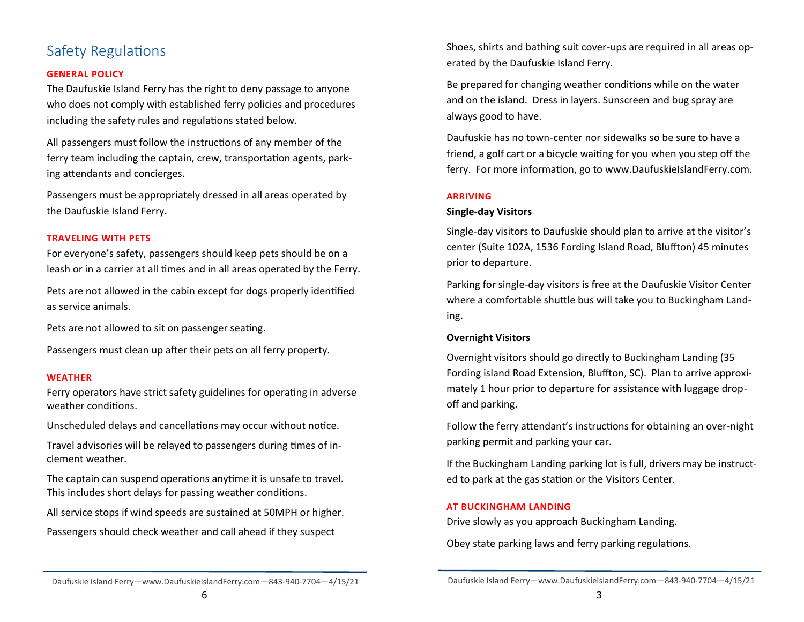## Safety Regulations

#### **GENERAL POLICY**

The Daufuskie Island Ferry has the right to deny passage to anyone who does not comply with established ferry policies and procedures including the safety rules and regulations stated below.

All passengers must follow the instructions of any member of the ferry team including the captain, crew, transportation agents, parking attendants and concierges.

Passengers must be appropriately dressed in all areas operated by the Daufuskie Island Ferry.

#### **TRAVELING WITH PETS**

For everyone's safety, passengers should keep pets should be on a leash or in a carrier at all times and in all areas operated by the Ferry.

Pets are not allowed in the cabin except for dogs properly identified as service animals.

Pets are not allowed to sit on passenger seating.

Passengers must clean up after their pets on all ferry property.

#### **WEATHER**

Ferry operators have strict safety guidelines for operating in adverse weather conditions.

Unscheduled delays and cancellations may occur without notice.

Travel advisories will be relayed to passengers during times of inclement weather.

The captain can suspend operations anytime it is unsafe to travel. This includes short delays for passing weather conditions.

All service stops if wind speeds are sustained at 50MPH or higher.

Passengers should check weather and call ahead if they suspect

Shoes, shirts and bathing suit cover-ups are required in all areas operated by the Daufuskie Island Ferry.

Be prepared for changing weather conditions while on the water and on the island. Dress in layers. Sunscreen and bug spray are always good to have.

Daufuskie has no town-center nor sidewalks so be sure to have a friend, a golf cart or a bicycle waiting for you when you step off the ferry. For more information, go to www.DaufuskieIslandFerry.com.

#### **ARRIVING**

#### **Single-day Visitors**

Single-day visitors to Daufuskie should plan to arrive at the visitor's center (Suite 102A, 1536 Fording Island Road, Bluffton) 45 minutes prior to departure.

Parking for single-day visitors is free at the Daufuskie Visitor Center where a comfortable shuttle bus will take you to Buckingham Landing.

#### **Overnight Visitors**

Overnight visitors should go directly to Buckingham Landing (35 Fording island Road Extension, Bluffton, SC). Plan to arrive approximately 1 hour prior to departure for assistance with luggage dropoff and parking.

Follow the ferry attendant's instructions for obtaining an over-night parking permit and parking your car.

If the Buckingham Landing parking lot is full, drivers may be instructed to park at the gas station or the Visitors Center.

#### **AT BUCKINGHAM LANDING**

Drive slowly as you approach Buckingham Landing.

Obey state parking laws and ferry parking regulations.